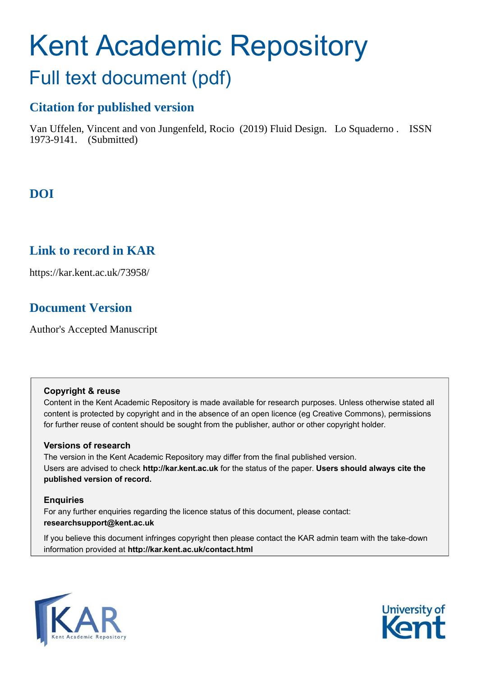# Kent Academic Repository Full text document (pdf)

## **Citation for published version**

Van Uffelen, Vincent and von Jungenfeld, Rocio (2019) Fluid Design. Lo Squaderno . ISSN 1973-9141. (Submitted)

# **DOI**

# **Link to record in KAR**

https://kar.kent.ac.uk/73958/

# **Document Version**

Author's Accepted Manuscript

## **Copyright & reuse**

Content in the Kent Academic Repository is made available for research purposes. Unless otherwise stated all content is protected by copyright and in the absence of an open licence (eg Creative Commons), permissions for further reuse of content should be sought from the publisher, author or other copyright holder.

## **Versions of research**

The version in the Kent Academic Repository may differ from the final published version. Users are advised to check **http://kar.kent.ac.uk** for the status of the paper. **Users should always cite the published version of record.**

## **Enquiries**

For any further enquiries regarding the licence status of this document, please contact: **researchsupport@kent.ac.uk**

If you believe this document infringes copyright then please contact the KAR admin team with the take-down information provided at **http://kar.kent.ac.uk/contact.html**



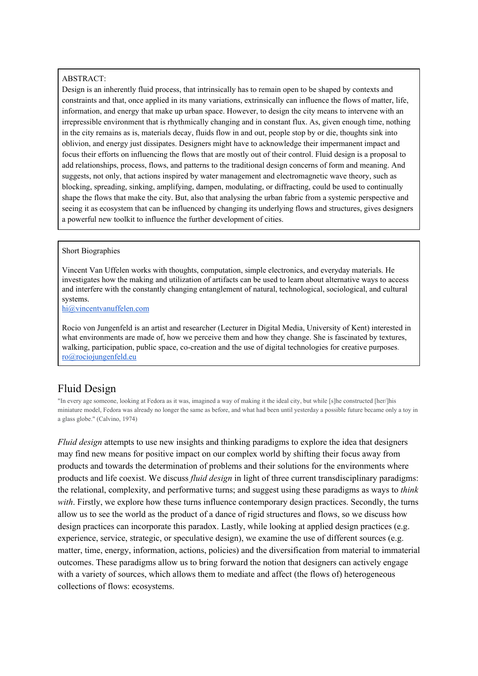#### ABSTRACT:

Design is an inherently fluid process, that intrinsically has to remain open to be shaped by contexts and constraints and that, once applied in its many variations, extrinsically can influence the flows of matter, life, information, and energy that make up urban space. However, to design the city means to intervene with an irrepressible environment that is rhythmically changing and in constant flux. As, given enough time, nothing in the city remains as is, materials decay, fluids flow in and out, people stop by or die, thoughts sink into oblivion, and energy just dissipates. Designers might have to acknowledge their impermanent impact and focus their efforts on influencing the flows that are mostly out of their control. Fluid design is a proposal to add relationships, process, flows, and patterns to the traditional design concerns of form and meaning. And suggests, not only, that actions inspired by water management and electromagnetic wave theory, such as blocking, spreading, sinking, amplifying, dampen, modulating, or diffracting, could be used to continually shape the flows that make the city. But, also that analysing the urban fabric from a systemic perspective and seeing it as ecosystem that can be influenced by changing its underlying flows and structures, gives designers a powerful new toolkit to influence the further development of cities.

#### Short Biographies

Vincent Van Uffelen works with thoughts, computation, simple electronics, and everyday materials. He investigates how the making and utilization of artifacts can be used to learn about alternative ways to access and interfere with the constantly changing entanglement of natural, technological, sociological, and cultural systems.

[hi@vincentvanuffelen.com](mailto:hi@vincentvanuffelen.com)

Rocio von Jungenfeld is an artist and researcher (Lecturer in Digital Media, University of Kent) interested in what environments are made of, how we perceive them and how they change. She is fascinated by textures, walking, participation, public space, co-creation and the use of digital technologies for creative purposes. [ro@rociojungenfeld.eu](mailto:ro@rociojungenfeld.eu)

## Fluid Design

"In every age someone, looking at Fedora as it was, imagined a way of making it the ideal city, but while [s]he constructed [her/]his miniature model, Fedora was already no longer the same as before, and what had been until yesterday a possible future became only a toy in a glass globe." (Calvino, 1974)

*Fluid design* attempts to use new insights and thinking paradigms to explore the idea that designers may find new means for positive impact on our complex world by shifting their focus away from products and towards the determination of problems and their solutions for the environments where products and life coexist. We discuss *fluid design* in light of three current transdisciplinary paradigms: the relational, complexity, and performative turns; and suggest using these paradigms as ways to *think*  with. Firstly, we explore how these turns influence contemporary design practices. Secondly, the turns allow us to see the world as the product of a dance of rigid structures and flows, so we discuss how design practices can incorporate this paradox. Lastly, while looking at applied design practices (e.g. experience, service, strategic, or speculative design), we examine the use of different sources (e.g. matter, time, energy, information, actions, policies) and the diversification from material to immaterial outcomes. These paradigms allow us to bring forward the notion that designers can actively engage with a variety of sources, which allows them to mediate and affect (the flows of) heterogeneous collections of flows: ecosystems.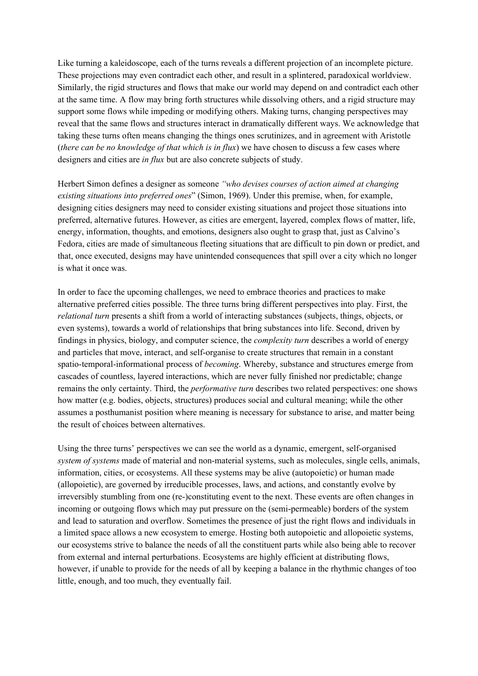Like turning a kaleidoscope, each of the turns reveals a different projection of an incomplete picture. These projections may even contradict each other, and result in a splintered, paradoxical worldview. Similarly, the rigid structures and flows that make our world may depend on and contradict each other at the same time. A flow may bring forth structures while dissolving others, and a rigid structure may support some flows while impeding or modifying others. Making turns, changing perspectives may reveal that the same flows and structures interact in dramatically different ways. We acknowledge that taking these turns often means changing the things ones scrutinizes, and in agreement with Aristotle (*there can be no knowledge of that which is in flux*) we have chosen to discuss a few cases where designers and cities are *in flux* but are also concrete subjects of study.

Herbert Simon defines a designer as someone *"who devises courses of action aimed at changing existing situations into preferred ones*" (Simon, 1969). Under this premise, when, for example, designing cities designers may need to consider existing situations and project those situations into preferred, alternative futures. However, as cities are emergent, layered, complex flows of matter, life, energy, information, thoughts, and emotions, designers also ought to grasp that, just as Calvino's Fedora, cities are made of simultaneous fleeting situations that are difficult to pin down or predict, and that, once executed, designs may have unintended consequences that spill over a city which no longer is what it once was.

In order to face the upcoming challenges, we need to embrace theories and practices to make alternative preferred cities possible. The three turns bring different perspectives into play. First, the *relational turn* presents a shift from a world of interacting substances (subjects, things, objects, or even systems), towards a world of relationships that bring substances into life. Second, driven by findings in physics, biology, and computer science, the *complexity turn* describes a world of energy and particles that move, interact, and self-organise to create structures that remain in a constant spatio-temporal-informational process of *becoming*. Whereby, substance and structures emerge from cascades of countless, layered interactions, which are never fully finished nor predictable; change remains the only certainty. Third, the *performative turn* describes two related perspectives: one shows how matter (e.g. bodies, objects, structures) produces social and cultural meaning; while the other assumes a posthumanist position where meaning is necessary for substance to arise, and matter being the result of choices between alternatives.

Using the three turns' perspectives we can see the world as a dynamic, emergent, self-organised *system of systems* made of material and non-material systems, such as molecules, single cells, animals, information, cities, or ecosystems. All these systems may be alive (autopoietic) or human made (allopoietic), are governed by irreducible processes, laws, and actions, and constantly evolve by irreversibly stumbling from one (re-)constituting event to the next. These events are often changes in incoming or outgoing flows which may put pressure on the (semi-permeable) borders of the system and lead to saturation and overflow. Sometimes the presence of just the right flows and individuals in a limited space allows a new ecosystem to emerge. Hosting both autopoietic and allopoietic systems, our ecosystems strive to balance the needs of all the constituent parts while also being able to recover from external and internal perturbations. Ecosystems are highly efficient at distributing flows, however, if unable to provide for the needs of all by keeping a balance in the rhythmic changes of too little, enough, and too much, they eventually fail.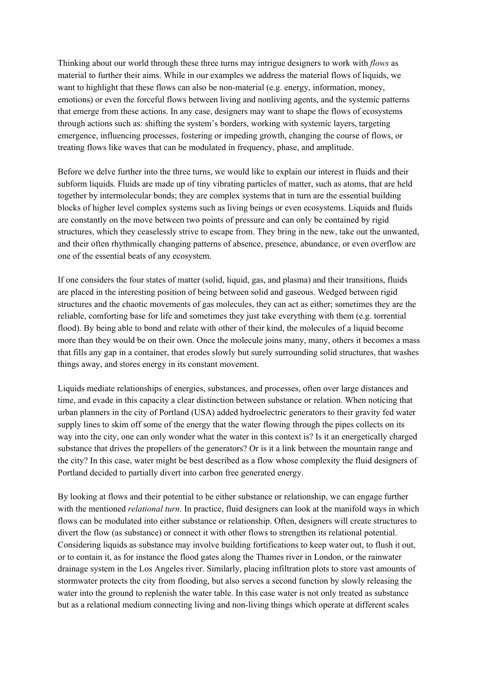Thinking about our world through these three turns may intrigue designers to work with *flows* as material to further their aims. While in our examples we address the material flows of liquids, we want to highlight that these flows can also be non-material (e.g. energy, information, money, emotions) or even the forceful flows between living and nonliving agents, and the systemic patterns that emerge from these actions. In any case, designers may want to shape the flows of ecosystems through actions such as: shifting the system's borders, working with systemic layers, targeting emergence, influencing processes, fostering or impeding growth, changing the course of flows, or treating flows like waves that can be modulated in frequency, phase, and amplitude.

Before we delve further into the three turns, we would like to explain our interest in fluids and their subform liquids. Fluids are made up of tiny vibrating particles of matter, such as atoms, that are held together by intermolecular bonds; they are complex systems that in turn are the essential building blocks of higher level complex systems such as living beings or even ecosystems. Liquids and fluids are constantly on the move between two points of pressure and can only be contained by rigid structures, which they ceaselessly strive to escape from. They bring in the new, take out the unwanted, and their often rhythmically changing patterns of absence, presence, abundance, or even overflow are one of the essential beats of any ecosystem.

If one considers the four states of matter (solid, liquid, gas, and plasma) and their transitions, fluids are placed in the interesting position of being between solid and gaseous. Wedged between rigid structures and the chaotic movements of gas molecules, they can act as either; sometimes they are the reliable, comforting base for life and sometimes they just take everything with them (e.g. torrential flood). By being able to bond and relate with other of their kind, the molecules of a liquid become more than they would be on their own. Once the molecule joins many, many, others it becomes a mass that fills any gap in a container, that erodes slowly but surely surrounding solid structures, that washes things away, and stores energy in its constant movement.

Liquids mediate relationships of energies, substances, and processes, often over large distances and time, and evade in this capacity a clear distinction between substance or relation. When noticing that urban planners in the city of Portland (USA) added hydroelectric generators to their gravity fed water supply lines to skim off some of the energy that the water flowing through the pipes collects on its way into the city, one can only wonder what the water in this context is? Is it an energetically charged substance that drives the propellers of the generators? Or is it a link between the mountain range and the city? In this case, water might be best described as a flow whose complexity the fluid designers of Portland decided to partially divert into carbon free generated energy.

By looking at flows and their potential to be either substance or relationship, we can engage further with the mentioned *relational turn*. In practice, fluid designers can look at the manifold ways in which flows can be modulated into either substance or relationship. Often, designers will create structures to divert the flow (as substance) or connect it with other flows to strengthen its relational potential. Considering liquids as substance may involve building fortifications to keep water out, to flush it out, or to contain it, as for instance the flood gates along the Thames river in London, or the rainwater drainage system in the Los Angeles river. Similarly, placing infiltration plots to store vast amounts of stormwater protects the city from flooding, but also serves a second function by slowly releasing the water into the ground to replenish the water table. In this case water is not only treated as substance but as a relational medium connecting living and non-living things which operate at different scales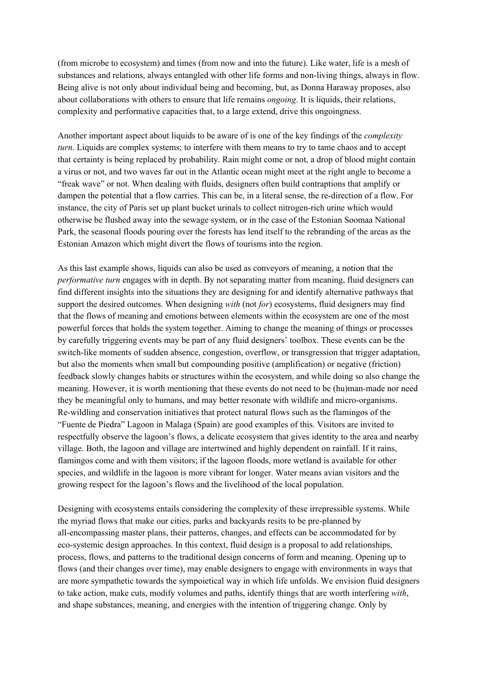(from microbe to ecosystem) and times (from now and into the future). Like water, life is a mesh of substances and relations, always entangled with other life forms and non-living things, always in flow. Being alive is not only about individual being and becoming, but, as Donna Haraway proposes, also about collaborations with others to ensure that life remains *ongoing*. It is liquids, their relations, complexity and performative capacities that, to a large extend, drive this ongoingness.

Another important aspect about liquids to be aware of is one of the key findings of the *complexity turn*. Liquids are complex systems; to interfere with them means to try to tame chaos and to accept that certainty is being replaced by probability. Rain might come or not, a drop of blood might contain a virus or not, and two waves far out in the Atlantic ocean might meet at the right angle to become a "freak wave" or not. When dealing with fluids, designers often build contraptions that amplify or dampen the potential that a flow carries. This can be, in a literal sense, the re-direction of a flow. For instance, the city of Paris set up plant bucket urinals to collect nitrogen-rich urine which would otherwise be flushed away into the sewage system, or in the case of the Estonian Soomaa National Park, the seasonal floods pouring over the forests has lend itself to the rebranding of the areas as the Estonian Amazon which might divert the flows of tourisms into the region.

As this last example shows, liquids can also be used as conveyors of meaning, a notion that the *performative turn* engages with in depth. By not separating matter from meaning, fluid designers can find different insights into the situations they are designing for and identify alternative pathways that support the desired outcomes. When designing *with* (not *for*) ecosystems, fluid designers may find that the flows of meaning and emotions between elements within the ecosystem are one of the most powerful forces that holds the system together. Aiming to change the meaning of things or processes by carefully triggering events may be part of any fluid designers' toolbox. These events can be the switch-like moments of sudden absence, congestion, overflow, or transgression that trigger adaptation, but also the moments when small but compounding positive (amplification) or negative (friction) feedback slowly changes habits or structures within the ecosystem, and while doing so also change the meaning. However, it is worth mentioning that these events do not need to be (hu)man-made nor need they be meaningful only to humans, and may better resonate with wildlife and micro-organisms. Re-wildling and conservation initiatives that protect natural flows such as the flamingos of the "Fuente de Piedra" Lagoon in Malaga (Spain) are good examples of this. Visitors are invited to respectfully observe the lagoon's flows, a delicate ecosystem that gives identity to the area and nearby village. Both, the lagoon and village are intertwined and highly dependent on rainfall. If it rains, flamingos come and with them visitors; if the lagoon floods, more wetland is available for other species, and wildlife in the lagoon is more vibrant for longer. Water means avian visitors and the growing respect for the lagoon's flows and the livelihood of the local population.

Designing with ecosystems entails considering the complexity of these irrepressible systems. While the myriad flows that make our cities, parks and backyards resits to be pre-planned by all-encompassing master plans, their patterns, changes, and effects can be accommodated for by eco-systemic design approaches. In this context, fluid design is a proposal to add relationships, process, flows, and patterns to the traditional design concerns of form and meaning. Opening up to flows (and their changes over time), may enable designers to engage with environments in ways that are more sympathetic towards the sympoietical way in which life unfolds. We envision fluid designers to take action, make cuts, modify volumes and paths, identify things that are worth interfering *with*, and shape substances, meaning, and energies with the intention of triggering change. Only by